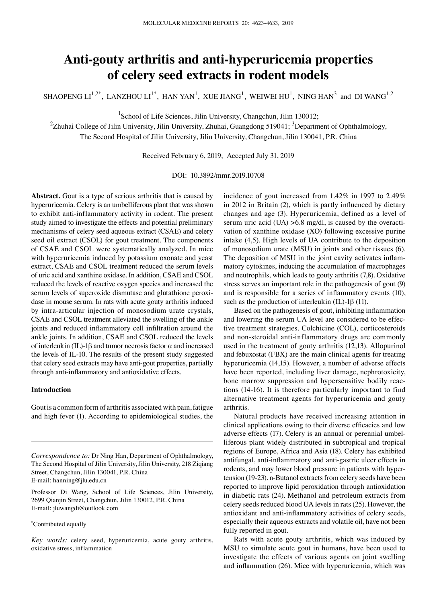# **Anti‑gouty arthritis and anti‑hyperuricemia properties of celery seed extracts in rodent models**

SHAOPENG  $LI^{1,2^*}$ , LANZHOU  $LI^{1^*}$ , HAN YAN<sup>1</sup>, XUE JIANG<sup>1</sup>, WEIWEI HU<sup>1</sup>, NING HAN<sup>3</sup> and DI WANG<sup>1,2</sup>

<sup>1</sup>School of Life Sciences, Jilin University, Changchun, Jilin 130012;

 $^2$ Zhuhai College of Jilin University, Jilin University, Zhuhai, Guangdong 519041;  $^3$ Department of Ophthalmology, The Second Hospital of Jilin University, Jilin University, Changchun, Jilin 130041, P.R. China

Received February 6, 2019; Accepted July 31, 2019

DOI: 10.3892/mmr.2019.10708

**Abstract.** Gout is a type of serious arthritis that is caused by hyperuricemia. Celery is an umbelliferous plant that was shown to exhibit anti-inflammatory activity in rodent. The present study aimed to investigate the effects and potential preliminary mechanisms of celery seed aqueous extract (CSAE) and celery seed oil extract (CSOL) for gout treatment. The components of CSAE and CSOL were systematically analyzed. In mice with hyperuricemia induced by potassium oxonate and yeast extract, CSAE and CSOL treatment reduced the serum levels of uric acid and xanthine oxidase. In addition, CSAE and CSOL reduced the levels of reactive oxygen species and increased the serum levels of superoxide dismutase and glutathione peroxidase in mouse serum. In rats with acute gouty arthritis induced by intra-articular injection of monosodium urate crystals, CSAE and CSOL treatment alleviated the swelling of the ankle joints and reduced inflammatory cell infiltration around the ankle joints. In addition, CSAE and CSOL reduced the levels of interleukin (IL)-1β and tumor necrosis factor α and increased the levels of IL‑10. The results of the present study suggested that celery seed extracts may have anti-gout properties, partially through anti‑inflammatory and antioxidative effects.

# **Introduction**

Gout is a common form of arthritis associated with pain, fatigue and high fever (1). According to epidemiological studies, the

Professor Di Wang, School of Life Sciences, Jilin University, 2699 Qianjin Street, Changchun, Jilin 130012, P.R. China E‑mail: jluwangdi@outlook.com

#### \* Contributed equally

*Key words:* celery seed, hyperuricemia, acute gouty arthritis, oxidative stress, inflammation

incidence of gout increased from 1.42% in 1997 to 2.49% in 2012 in Britain (2), which is partly influenced by dietary changes and age (3). Hyperuricemia, defined as a level of serum uric acid (UA)  $>6.8$  mg/dl, is caused by the overactivation of xanthine oxidase (XO) following excessive purine intake (4,5). High levels of UA contribute to the deposition of monosodium urate (MSU) in joints and other tissues (6). The deposition of MSU in the joint cavity activates inflammatory cytokines, inducing the accumulation of macrophages and neutrophils, which leads to gouty arthritis (7,8). Oxidative stress serves an important role in the pathogenesis of gout (9) and is responsible for a series of inflammatory events (10), such as the production of interleukin (IL)-1β (11).

Based on the pathogenesis of gout, inhibiting inflammation and lowering the serum UA level are considered to be effective treatment strategies. Colchicine (COL), corticosteroids and non-steroidal anti-inflammatory drugs are commonly used in the treatment of gouty arthritis (12,13). Allopurinol and febuxostat (FBX) are the main clinical agents for treating hyperuricemia (14,15). However, a number of adverse effects have been reported, including liver damage, nephrotoxicity, bone marrow suppression and hypersensitive bodily reactions (14-16). It is therefore particularly important to find alternative treatment agents for hyperuricemia and gouty arthritis.

Natural products have received increasing attention in clinical applications owing to their diverse efficacies and low adverse effects (17). Celery is an annual or perennial umbelliferous plant widely distributed in subtropical and tropical regions of Europe, Africa and Asia (18). Celery has exhibited antifungal, anti‑inflammatory and anti‑gastric ulcer effects in rodents, and may lower blood pressure in patients with hypertension (19-23). n-Butanol extracts from celery seeds have been reported to improve lipid peroxidation through antioxidation in diabetic rats (24). Methanol and petroleum extracts from celery seeds reduced blood UA levels in rats (25). However, the antioxidant and anti‑inflammatory activities of celery seeds, especially their aqueous extracts and volatile oil, have not been fully reported in gout.

Rats with acute gouty arthritis, which was induced by MSU to simulate acute gout in humans, have been used to investigate the effects of various agents on joint swelling and inflammation (26). Mice with hyperuricemia, which was

*Correspondence to:* Dr Ning Han, Department of Ophthalmology, The Second Hospital of Jilin University, Jilin University, 218 Ziqiang Street, Changchun, Jilin 130041, P.R. China E‑mail: hanning@jlu.edu.cn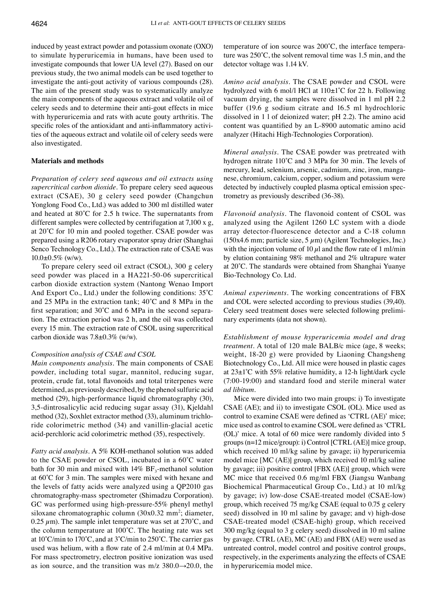induced by yeast extract powder and potassium oxonate (OXO) to simulate hyperuricemia in humans, have been used to investigate compounds that lower UA level (27). Based on our previous study, the two animal models can be used together to investigate the anti-gout activity of various compounds (28). The aim of the present study was to systematically analyze the main components of the aqueous extract and volatile oil of celery seeds and to determine their anti-gout effects in mice with hyperuricemia and rats with acute gouty arthritis. The specific roles of the antioxidant and anti-inflammatory activities of the aqueous extract and volatile oil of celery seeds were also investigated.

## **Materials and methods**

*Preparation of celery seed aqueous and oil extracts using supercritical carbon dioxide.* To prepare celery seed aqueous extract (CSAE), 30 g celery seed powder (Changchun Yonglong Food Co., Ltd.) was added to 300 ml distilled water and heated at 80˚C for 2.5 h twice. The supernatants from different samples were collected by centrifugation at 7,100 x g, at 20˚C for 10 min and pooled together. CSAE powder was prepared using a R206 rotary evaporator spray drier (Shanghai Senco Technology Co., Ltd.). The extraction rate of CSAE was  $10.0\pm0.5\%$  (w/w).

To prepare celery seed oil extract (CSOL), 300 g celery seed powder was placed in a HA221-50-06 supercritical carbon dioxide extraction system (Nantong Wenao Import And Export Co., Ltd.) under the following conditions: 35˚C and 25 MPa in the extraction tank; 40˚C and 8 MPa in the first separation; and 30˚C and 6 MPa in the second separation. The extraction period was 2 h, and the oil was collected every 15 min. The extraction rate of CSOL using supercritical carbon dioxide was 7.8±0.3% (w/w).

## *Composition analysis of CSAE and CSOL*

*Main components analysis.* The main components of CSAE powder, including total sugar, mannitol, reducing sugar, protein, crude fat, total flavonoids and total triterpenes were determined, as previously described, by the phenol sulfuric acid method (29), high-performance liquid chromatography (30), 3,5-dintrosalicylic acid reducing sugar assay (31), Kjeldahl method (32), Soxhlet extractor method (33), aluminum trichloride colorimetric method (34) and vanillin-glacial acetic acid-perchloric acid colorimetric method (35), respectively.

*Fatty acid analysis.* A 5% KOH-methanol solution was added to the CSAE powder or CSOL, incubated in a 60˚C water bath for 30 min and mixed with  $14\%$  BF<sub>3</sub>-methanol solution at 60˚C for 3 min. The samples were mixed with hexane and the levels of fatty acids were analyzed using a QP2010 gas chromatography-mass spectrometer (Shimadzu Corporation). GC was performed using high-pressure-55% phenyl methyl siloxane chromatographic column (30x0.32 mm<sup>2</sup>; diameter, 0.25  $\mu$ m). The sample inlet temperature was set at 270°C, and the column temperature at 100˚C. The heating rate was set at 10˚C/min to 170˚C, and at 3˚C/min to 250˚C. The carrier gas used was helium, with a flow rate of 2.4 ml/min at 0.4 MPa. For mass spectrometry, electron positive ionization was used as ion source, and the transition was m/z  $380.0 \rightarrow 20.0$ , the

temperature of ion source was 200˚C, the interface temperature was 250˚C, the solvent removal time was 1.5 min, and the detector voltage was 1.14 kV.

*Amino acid analysis.* The CSAE powder and CSOL were hydrolyzed with 6 mol/l HCl at 110±1˚C for 22 h. Following vacuum drying, the samples were dissolved in 1 ml pH 2.2 buffer (19.6 g sodium citrate and 16.5 ml hydrochloric dissolved in 1 l of deionized water; pH 2.2). The amino acid content was quantified by an L‑8900 automatic amino acid analyzer (Hitachi High-Technologies Corporation).

*Mineral analysis.* The CSAE powder was pretreated with hydrogen nitrate 110˚C and 3 MPa for 30 min. The levels of mercury, lead, selenium, arsenic, cadmium, zinc, iron, manganese, chromium, calcium, copper, sodium and potassium were detected by inductively coupled plasma optical emission spectrometry as previously described (36-38).

*Flavonoid analysis.* The flavonoid content of CSOL was analyzed using the Agilent 1260 LC system with a diode array detector-fluorescence detector and a C‑18 column (150x4.6 mm; particle size,  $5 \mu$ m) (Agilent Technologies, Inc.) with the injection volume of 10  $\mu$ l and the flow rate of 1 ml/min by elution containing 98% methanol and 2% ultrapure water at 20˚C. The standards were obtained from Shanghai Yuanye Bio-Technology Co. Ltd.

*Animal experiments.* The working concentrations of FBX and COL were selected according to previous studies (39,40). Celery seed treatment doses were selected following preliminary experiments (data not shown).

*Establishment of mouse hyperuricemia model and drug treatment.* A total of 120 male BALB/c mice (age, 8 weeks; weight, 18-20 g) were provided by Liaoning Changsheng Biotechnology Co., Ltd. All mice were housed in plastic cages at 23±1˚C with 55% relative humidity, a 12‑h light/dark cycle (7:00-19:00) and standard food and sterile mineral water *ad libitum*.

Mice were divided into two main groups: i) To investigate CSAE (AE); and ii) to investigate CSOL (OL). Mice used as control to examine CSAE were defined as 'CTRL (AE)' mice; mice used as control to examine CSOL were defined as 'CTRL (OL)' mice. A total of 60 mice were randomly divided into 5 groups (n=12 mice/group): i) Control [CTRL (AE)] mice group, which received 10 ml/kg saline by gavage; ii) hyperuricemia model mice [MC (AE)] group, which received 10 ml/kg saline by gavage; iii) positive control [FBX (AE)] group, which were MC mice that received 0.6 mg/ml FBX (Jiangsu Wanbang Biochemical Pharmaceutical Group Co., Ltd.) at 10 ml/kg by gavage; iv) low-dose CSAE‑treated model (CSAE‑low) group, which received 75 mg/kg CSAE (equal to 0.75 g celery seed) dissolved in 10 ml saline by gavage; and v) high-dose CSAE‑treated model (CSAE‑high) group, which received 300 mg/kg (equal to 3 g celery seed) dissolved in 10 ml saline by gavage. CTRL (AE), MC (AE) and FBX (AE) were used as untreated control, model control and positive control groups, respectively, in the experiments analyzing the effects of CSAE in hyperuricemia model mice.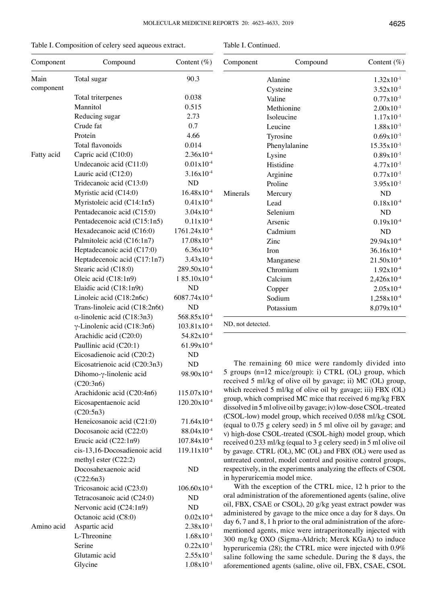| Table I. Composition of celery seed aqueous extract. |  |  |
|------------------------------------------------------|--|--|
|------------------------------------------------------|--|--|

| Component         | Compound                                               | Content $(\%)$           |  |
|-------------------|--------------------------------------------------------|--------------------------|--|
| Main<br>component | Total sugar                                            | 90.3                     |  |
|                   | Total triterpenes                                      | 0.038                    |  |
|                   | Mannitol                                               | 0.515                    |  |
|                   | Reducing sugar                                         | 2.73                     |  |
|                   | Crude fat                                              | 0.7                      |  |
|                   | Protein                                                | 4.66                     |  |
|                   | Total flavonoids                                       | 0.014                    |  |
| Fatty acid        | Capric acid (C10:0)                                    | $2.36x10^{-4}$           |  |
|                   | Undecanoic acid (C11:0)                                | $0.01x10^{-4}$           |  |
|                   | Lauric acid (C12:0)                                    | $3.16x10^{-4}$           |  |
|                   | Tridecanoic acid (C13:0)                               | ND                       |  |
|                   | Myristic acid (C14:0)                                  | $16.48x10^{-4}$          |  |
|                   | Myristoleic acid (C14:1n5)                             | $0.41x10^{-4}$           |  |
|                   | Pentadecanoic acid (C15:0)                             | $3.04x10^{-4}$           |  |
|                   | Pentadecenoic acid (C15:1n5)                           | $0.11x10^{-4}$           |  |
|                   | Hexadecanoic acid (C16:0)                              | 1761.24x10 <sup>-4</sup> |  |
|                   | Palmitoleic acid (C16:1n7)                             | $17.08x10^{-4}$          |  |
|                   | Heptadecanoic acid (C17:0)                             | $6.36x10^{-4}$           |  |
|                   | Heptadecenoic acid (C17:1n7)                           | $3.43x10^{-4}$           |  |
|                   | Stearic acid (C18:0)                                   | 289.50x10 <sup>-4</sup>  |  |
|                   | Oleic acid (C18:1n9)                                   | 185.10x10 <sup>-4</sup>  |  |
|                   | Elaidic acid (C18:1n9t)                                | ND                       |  |
|                   | Linoleic acid (C18:2n6c)                               | $6087.74 \times 10^{-4}$ |  |
|                   | Trans-linoleic acid (C18:2n6t)                         | ND                       |  |
|                   | $\alpha$ -linolenic acid (C18:3n3)                     | 568.85x10 <sup>-4</sup>  |  |
|                   | $\gamma$ -Linolenic acid (C18:3n6)                     | $103.81 \times 10^{-4}$  |  |
|                   | Arachidic acid (C20:0)                                 | 54.82x10 <sup>-4</sup>   |  |
|                   | Paullinic acid (C20:1)                                 | $61.99x10^{-4}$          |  |
|                   | Eicosadienoic acid (C20:2)                             | ND                       |  |
|                   | Eicosatrienoic acid (C20:3n3)                          | <b>ND</b>                |  |
|                   | Dihomo-y-linolenic acid<br>(C20:3n6)                   | 98.90x10 <sup>-4</sup>   |  |
|                   | Arachidonic acid (C20:4n6)                             | 115.07x10 <sup>-4</sup>  |  |
|                   | Eicosapentaenoic acid                                  | $120.20 \times 10^{-4}$  |  |
|                   | (C20:5n3)                                              |                          |  |
|                   | Heneicosanoic acid (C21:0)                             | $71.64 \times 10^{-4}$   |  |
|                   | Docosanoic acid (C22:0)                                | 88.04x10 <sup>-4</sup>   |  |
|                   | Erucic acid (C22:1n9)                                  | $107.84 \times 10^{-4}$  |  |
|                   | cis-13,16-Docosadienoic acid<br>methyl ester $(C22:2)$ | $119.11x10^{-4}$         |  |
|                   | Docosahexaenoic acid<br>(C22:6n3)                      | ND                       |  |
|                   | Tricosanoic acid (C23:0)                               | $106.60 \times 10^{-4}$  |  |
|                   | Tetracosanoic acid (C24:0)                             | <b>ND</b>                |  |
|                   | Nervonic acid (C24:1n9)                                | ND                       |  |
|                   | Octanoic acid (C8:0)                                   | $0.02x10^{-4}$           |  |
| Amino acid        | Aspartic acid                                          | $2.38x10^{-1}$           |  |
|                   | L-Threonine                                            | $1.68x10^{-1}$           |  |
|                   | Serine                                                 | $0.22 \times 10^{-1}$    |  |
|                   | Glutamic acid                                          | $2.55 \times 10^{-1}$    |  |
|                   | Glycine                                                | $1.08x10^{-1}$           |  |

| Component | Compound      | Content $(\%)$         |  |
|-----------|---------------|------------------------|--|
|           | Alanine       | $1.32 \times 10^{-1}$  |  |
|           | Cysteine      | $3.52 \times 10^{-1}$  |  |
|           | Valine        | $0.77 \times 10^{-1}$  |  |
|           | Methionine    | $2.00x10^{-1}$         |  |
|           | Isoleucine    | $1.17x10^{-1}$         |  |
|           | Leucine       | $1.88 \times 10^{-1}$  |  |
|           | Tyrosine      | $0.69x10^{-1}$         |  |
|           | Phenylalanine | $15.35 \times 10^{-1}$ |  |
|           | Lysine        | $0.89x10^{-1}$         |  |
|           | Histidine     | $4.77 \times 10^{-1}$  |  |
|           | Arginine      | $0.77x10^{-1}$         |  |
|           | Proline       | $3.95x10^{-1}$         |  |
| Minerals  | Mercury       | <b>ND</b>              |  |
|           | Lead          | $0.18x10^{-4}$         |  |
|           | Selenium      | <b>ND</b>              |  |
|           | Arsenic       | $0.19x10^{-4}$         |  |
|           | Cadmium       | <b>ND</b>              |  |
|           | Zinc          | $29.94 \times 10^{-4}$ |  |
|           | Iron          | $36.16x10^{-4}$        |  |
|           | Manganese     | $21.50x10^{-4}$        |  |
|           | Chromium      | $1.92 \times 10^{-4}$  |  |
|           | Calcium       | $2,426x10^{-4}$        |  |
|           | Copper        | $2.05x10^{-4}$         |  |
|           | Sodium        | 1,258x10 <sup>-4</sup> |  |
|           | Potassium     | $8,079x10^{-4}$        |  |

The remaining 60 mice were randomly divided into 5 groups (n=12 mice/group): i) CTRL (OL) group, which received 5 ml/kg of olive oil by gavage; ii) MC (OL) group, which received 5 ml/kg of olive oil by gavage; iii) FBX (OL) group, which comprised MC mice that received 6 mg/kg FBX dissolved in 5 ml olive oil by gavage; iv) low-dose CSOL-treated (CSOL‑low) model group, which received 0.058 ml/kg CSOL (equal to 0.75 g celery seed) in 5 ml olive oil by gavage; and v) high-dose CSOL‑treated (CSOL‑high) model group, which received 0.233 ml/kg (equal to 3 g celery seed) in 5 ml olive oil by gavage. CTRL (OL), MC (OL) and FBX (OL) were used as untreated control, model control and positive control groups, respectively, in the experiments analyzing the effects of CSOL in hyperuricemia model mice.

With the exception of the CTRL mice, 12 h prior to the oral administration of the aforementioned agents (saline, olive oil, FBX, CSAE or CSOL), 20 g/kg yeast extract powder was administered by gavage to the mice once a day for 8 days. On day 6, 7 and 8, 1 h prior to the oral administration of the aforementioned agents, mice were intraperitoneally injected with 300 mg/kg OXO (Sigma‑Aldrich; Merck KGaA) to induce hyperuricemia (28); the CTRL mice were injected with 0.9% saline following the same schedule. During the 8 days, the aforementioned agents (saline, olive oil, FBX, CSAE, CSOL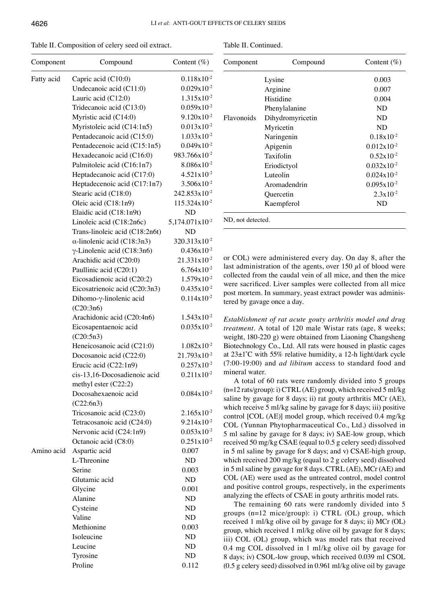| Table II. Composition of celery seed oil extract. |  |
|---------------------------------------------------|--|
|---------------------------------------------------|--|

| Component  | Compound                           | Content $(\%)$                 |  |
|------------|------------------------------------|--------------------------------|--|
| Fatty acid | Capric acid (C10:0)                | $0.118x10^{-2}$                |  |
|            | Undecanoic acid (C11:0)            | $0.029x10^{-2}$                |  |
|            | Lauric acid (C12:0)                | $1.315x10^{-2}$                |  |
|            | Tridecanoic acid (C13:0)           | $0.059x10^{-2}$                |  |
|            | Myristic acid (C14:0)              | $9.120x10^{-2}$                |  |
|            | Myristoleic acid (C14:1n5)         | $0.013x10^{-2}$                |  |
|            | Pentadecanoic acid (C15:0)         | $1.033 \times 10^{-2}$         |  |
|            | Pentadecenoic acid (C15:1n5)       | $0.049x10^{-2}$                |  |
|            | Hexadecanoic acid (C16:0)          | 983.766x10 <sup>-2</sup>       |  |
|            | Palmitoleic acid (C16:1n7)         | $8.086x10^{-2}$                |  |
|            | Heptadecanoic acid (C17:0)         | $4.521x10^{-2}$                |  |
|            | Heptadecenoic acid (C17:1n7)       | $3.506x10^{-2}$                |  |
|            | Stearic acid (C18:0)               | $242.853 \times 10^{-2}$       |  |
|            | Oleic acid (C18:1n9)               | $115.324 \times 10^{-2}$       |  |
|            | Elaidic acid (C18:1n9t)            | <b>ND</b>                      |  |
|            | Linoleic acid (C18:2n6c)           | $5,174.071 \mathrm{x} 10^{-2}$ |  |
|            | Trans-linoleic acid (C18:2n6t)     | <b>ND</b>                      |  |
|            | $\alpha$ -linolenic acid (C18:3n3) | 320.313x10 <sup>-2</sup>       |  |
|            | $\gamma$ -Linolenic acid (C18:3n6) | $0.436x10^{-2}$                |  |
|            | Arachidic acid (C20:0)             | $21.331x10^{-2}$               |  |
|            | Paullinic acid (C20:1)             | $6.764 \times 10^{-2}$         |  |
|            | Eicosadienoic acid (C20:2)         | $1.579x10^{-2}$                |  |
|            | Eicosatrienoic acid (C20:3n3)      | $0.435x10^{-2}$                |  |
|            | Dihomo-γ-linolenic acid            | $0.114x10^{-2}$                |  |
|            | (C20:3n6)                          |                                |  |
|            | Arachidonic acid (C20:4n6)         | $1.543 \times 10^{-2}$         |  |
|            | Eicosapentaenoic acid              | $0.035x10^{-2}$                |  |
|            | (C20:5n3)                          |                                |  |
|            | Heneicosanoic acid (C21:0)         | $1.082 \times 10^{-2}$         |  |
|            | Docosanoic acid (C22:0)            | 21.793x10-2                    |  |
|            | Erucic acid (C22:1n9)              | $0.257x10^{-2}$                |  |
|            | cis-13,16-Docosadienoic acid       | $0.211x10^{-2}$                |  |
|            | methyl ester (C22:2)               |                                |  |
|            | Docosahexaenoic acid<br>(C22:6n3)  | $0.084x10^{-2}$                |  |
|            | Tricosanoic acid (C23:0)           | $2.165 \times 10^{-2}$         |  |
|            | Tetracosanoic acid (C24:0)         | $9.214x10^{-2}$                |  |
|            | Nervonic acid (C24:1n9)            | $0.053x10^{-2}$                |  |
|            | Octanoic acid (C8:0)               | $0.251x10^{-2}$                |  |
| Amino acid | Aspartic acid                      | 0.007                          |  |
|            | L-Threonine                        | ND                             |  |
|            | Serine                             | 0.003                          |  |
|            | Glutamic acid                      | ND                             |  |
|            | Glycine                            | 0.001                          |  |
|            | Alanine                            | ND                             |  |
|            | Cysteine                           | ND                             |  |
|            | Valine                             | ND                             |  |
|            | Methionine                         | 0.003                          |  |
|            | Isoleucine                         | ND                             |  |
|            | Leucine                            | ND                             |  |
|            | Tyrosine                           | ND                             |  |
|            | Proline                            | 0.112                          |  |

| Table II. Continued. |
|----------------------|
|----------------------|

| Component         | Compound         | Content $(\%)$         |  |
|-------------------|------------------|------------------------|--|
|                   | Lysine           | 0.003                  |  |
|                   | Arginine         | 0.007                  |  |
|                   | Histidine        | 0.004                  |  |
|                   | Phenylalanine    | ND.                    |  |
| Flavonoids        | Dihydromyricetin | ND.                    |  |
|                   | Myricetin        | ND                     |  |
|                   | Naringenin       | $0.18x10^{-2}$         |  |
|                   | Apigenin         | $0.012x10^{-2}$        |  |
|                   | Taxifolin        | $0.52 \times 10^{-2}$  |  |
|                   | Eriodictyol      | $0.032x10^{-2}$        |  |
|                   | Luteolin         | $0.024 \times 10^{-2}$ |  |
|                   | Aromadendrin     | $0.095x10^{-2}$        |  |
|                   | Quercetin        | $2.3x10^{-2}$          |  |
|                   | Kaempferol       | ND                     |  |
| ND, not detected. |                  |                        |  |

or COL) were administered every day. On day 8, after the last administration of the agents, over 150  $\mu$ l of blood were collected from the caudal vein of all mice, and then the mice were sacrificed. Liver samples were collected from all mice post mortem. In summary, yeast extract powder was administered by gavage once a day.

*Establishment of rat acute gouty arthritis model and drug treatment.* A total of 120 male Wistar rats (age, 8 weeks; weight, 180-220 g) were obtained from Liaoning Changsheng Biotechnology Co., Ltd. All rats were housed in plastic cages at 23±1˚C with 55% relative humidity, a 12‑h light/dark cycle (7:00-19:00) and *ad libitum* access to standard food and mineral water.

A total of 60 rats were randomly divided into 5 groups  $(n=12 \text{ rats/group})$ : i) CTRL (AE) group, which received 5 ml/kg saline by gavage for 8 days; ii) rat gouty arthritis MCr (AE), which receive 5 ml/kg saline by gavage for 8 days; iii) positive control [COL (AE)] model group, which received 0.4 mg/kg COL (Yunnan Phytopharmaceutical Co., Ltd.) dissolved in 5 ml saline by gavage for 8 days; iv) SAE‑low group, which received 50 mg/kg CSAE (equal to 0.5 g celery seed) dissolved in 5 ml saline by gavage for 8 days; and v) CSAE-high group, which received 200 mg/kg (equal to 2 g celery seed) dissolved in 5 ml saline by gavage for 8 days. CTRL (AE), MCr (AE) and COL (AE) were used as the untreated control, model control and positive control groups, respectively, in the experiments analyzing the effects of CSAE in gouty arthritis model rats.

The remaining 60 rats were randomly divided into 5 groups (n=12 mice/group): i) CTRL (OL) group, which received 1 ml/kg olive oil by gavage for 8 days; ii) MCr (OL) group, which received 1 ml/kg olive oil by gavage for 8 days; iii) COL (OL) group, which was model rats that received 0.4 mg COL dissolved in 1 ml/kg olive oil by gavage for 8 days; iv) CSOL‑low group, which received 0.039 ml CSOL (0.5 g celery seed) dissolved in 0.961 ml/kg olive oil by gavage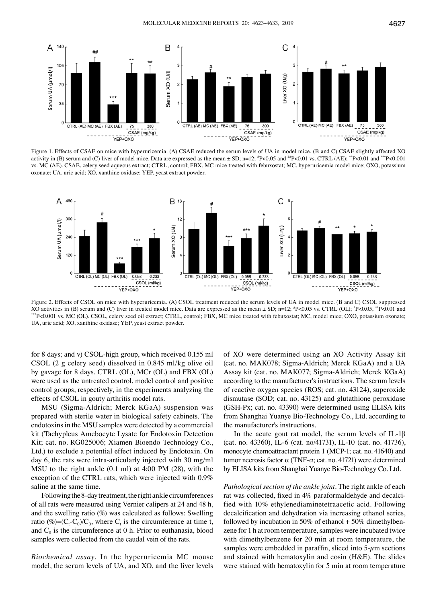

Figure 1. Effects of CSAE on mice with hyperuricemia. (A) CSAE reduced the serum levels of UA in model mice. (B and C) CSAE slightly affected XO activity in (B) serum and (C) liver of model mice. Data are expressed as the mean  $\pm$  SD; n=12;  $P$  = 0.05 and  $P$  = 0.01 vs. CTRL (AE);  $P$  = 0.01 and  $P$  = 0.001 vs. MC (AE). CSAE, celery seed aqueous extract; CTRL, control; FBX, MC mice treated with febuxostat; MC, hyperuricemia model mice; OXO, potassium oxonate; UA, uric acid; XO, xanthine oxidase; YEP, yeast extract powder.



Figure 2. Effects of CSOL on mice with hyperuricemia. (A) CSOL treatment reduced the serum levels of UA in model mice. (B and C) CSOL suppressed XO activities in (B) serum and (C) liver in treated model mice. Data are expressed as the mean  $\pm$  SD; n=12; <sup>#</sup>P<0.05 vs. CTRL (OL);  $\overline{\phantom{a}}$ \*\*\*P<0.001 vs. MC (OL). CSOL, celery seed oil extract; CTRL, control; FBX, MC mice treated with febuxostat; MC, model mice; OXO, potassium oxonate; UA, uric acid; XO, xanthine oxidase; YEP, yeast extract powder.

for 8 days; and v) CSOL-high group, which received 0.155 ml CSOL (2 g celery seed) dissolved in 0.845 ml/kg olive oil by gavage for 8 days. CTRL (OL), MCr (OL) and FBX (OL) were used as the untreated control, model control and positive control groups, respectively, in the experiments analyzing the effects of CSOL in gouty arthritis model rats.

MSU (Sigma‑Aldrich; Merck KGaA) suspension was prepared with sterile water in biological safety cabinets. The endotoxins in the MSU samples were detected by a commercial kit (Tachypleus Amebocyte Lysate for Endotoxin Detection Kit; cat. no. RG025006; Xiamen Bioendo Technology Co., Ltd.) to exclude a potential effect induced by Endotoxin. On day 6, the rats were intra-articularly injected with 30 mg/ml MSU to the right ankle (0.1 ml) at 4:00 PM (28), with the exception of the CTRL rats, which were injected with 0.9% saline at the same time.

Following the 8-day treatment, the right ankle circumferences of all rats were measured using Vernier calipers at 24 and 48 h, and the swelling ratio (%) was calculated as follows: Swelling ratio  $(\%)=(C_t-C_0)/C_0$ , where  $C_t$  is the circumference at time t, and  $C_0$  is the circumference at 0 h. Prior to euthanasia, blood samples were collected from the caudal vein of the rats.

*Biochemical assay.* In the hyperuricemia MC mouse model, the serum levels of UA, and XO, and the liver levels of XO were determined using an XO Activity Assay kit (cat. no. MAK078; Sigma‑Aldrich; Merck KGaA) and a UA Assay kit (cat. no. MAK077; Sigma‑Aldrich; Merck KGaA) according to the manufacturer's instructions. The serum levels of reactive oxygen species (ROS; cat. no. 43124), superoxide dismutase (SOD; cat. no. 43125) and glutathione peroxidase (GSH-Px; cat. no. 43390) were determined using ELISA kits from Shanghai Yuanye Bio-Technology Co., Ltd. according to the manufacturer's instructions.

In the acute gout rat model, the serum levels of IL-1 $\beta$ (cat. no. 43360), IL‑6 (cat. no/41731), IL‑10 (cat. no. 41736), monocyte chemoattractant protein 1 (MCP-1; cat. no. 41640) and tumor necrosis factor α (TNF-α; cat. no. 41721) were determined by ELISA kits from Shanghai Yuanye Bio-Technology Co. Ltd.

*Pathological section of the ankle joint.* The right ankle of each rat was collected, fixed in 4% paraformaldehyde and decalcified with 10% ethylenediaminetetraacetic acid. Following decalcification and dehydration via increasing ethanol series, followed by incubation in 50% of ethanol  $+50\%$  dimethylbenzene for 1 h at room temperature, samples were incubated twice with dimethylbenzene for 20 min at room temperature, the samples were embedded in paraffin, sliced into  $5-\mu$ m sections and stained with hematoxylin and eosin (H&E). The slides were stained with hematoxylin for 5 min at room temperature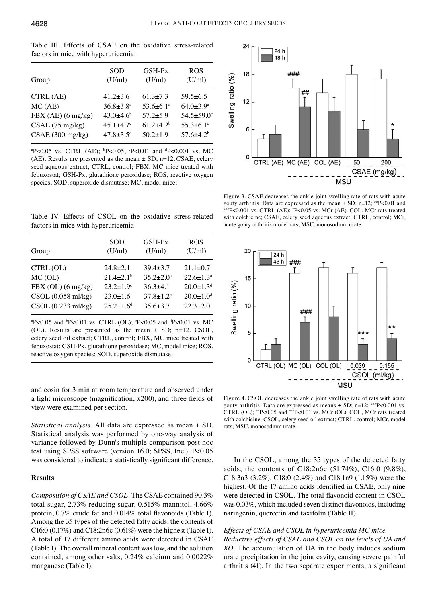Table III. Effects of CSAE on the oxidative stress-related factors in mice with hyperuricemia.

| Group              | <b>SOD</b><br>(U/ml)        | GSH-Px<br>(U/ml)            | <b>ROS</b><br>(U/ml)         |
|--------------------|-----------------------------|-----------------------------|------------------------------|
| CTRL (AE)          | $41.2 \pm 3.6$              | $61.3 \pm 7.3$              | $59.5+6.5$                   |
| MC(AE)             | $36.8 \pm 3.8^{\text{a}}$   | $53.6 \pm 6.1$ <sup>a</sup> | $64.0 \pm 3.9^{\rm a}$       |
| FBX (AE) (6 mg/kg) | $43.0 \pm 4.6$ <sup>b</sup> | $57.2 \pm 5.9$              | $54.5 \pm 59.0$ <sup>c</sup> |
| CSAE(75 mg/kg)     | $45.1 \pm 4.7$ <sup>c</sup> | $61.2+4.2b$                 | $55.3 \pm 6.1$ °             |
| CSAE(300 mg/kg)    | $47.8 + 3.5^d$              | $50.2 + 1.9$                | $57.6 \pm 4.2^b$             |

<sup>a</sup>P<0.05 vs. CTRL (AE); <sup>b</sup>P<0.05, <sup>c</sup>P<0.01 and <sup>d</sup>P<0.001 vs. MC (AE). Results are presented as the mean  $\pm$  SD, n=12. CSAE, celery seed aqueous extract; CTRL, control; FBX, MC mice treated with febuxostat; GSH-Px, glutathione peroxidase; ROS, reactive oxygen species; SOD, superoxide dismutase; MC, model mice.

Table IV. Effects of CSOL on the oxidative stress-related factors in mice with hyperuricemia.

| Group              | <b>SOD</b><br>(U/ml)        | GSH-Px<br>(U/ml)            | <b>ROS</b><br>(U/ml)        |
|--------------------|-----------------------------|-----------------------------|-----------------------------|
| CTRL(OL)           | $24.8 \pm 2.1$              | $39.4 \pm 3.7$              | $21.1 \pm 0.7$              |
| MC(OL)             | $21.4 \pm 2.1$ <sup>b</sup> | $35.2 \pm 2.0^{\circ}$      | $22.6 \pm 1.3^{\text{a}}$   |
| FBX (OL) (6 mg/kg) | $23.2 \pm 1.9$ <sup>c</sup> | $36.3+4.1$                  | $20.0 \pm 1.3$ <sup>d</sup> |
| CSOL(0.058 ml/kg)  | $23.0 \pm 1.6$              | $37.8 \pm 1.2$ <sup>c</sup> | $20.0 \pm 1.0$ <sup>d</sup> |
| CSOL (0.233 ml/kg) | $25.2 + 1.6^d$              | $35.6 \pm 3.7$              | $22.3 \pm 2.0$              |

 $\text{P}$ <0.05 and  $\text{P}$ <0.01 vs. CTRL (OL);  $\text{P}$ <0.05 and  $\text{P}$ <0.01 vs. MC (OL). Results are presented as the mean  $\pm$  SD; n=12. CSOL, celery seed oil extract; CTRL, control; FBX, MC mice treated with febuxostat; GSH-Px, glutathione peroxidase; MC, model mice; ROS, reactive oxygen species; SOD, superoxide dismutase.

and eosin for 3 min at room temperature and observed under a light microscope (magnification, x200), and three fields of view were examined per section.

*Statistical analysis.* All data are expressed as mean ± SD. Statistical analysis was performed by one-way analysis of variance followed by Dunn's multiple comparison post-hoc test using SPSS software (version 16.0; SPSS, Inc.). P<0.05 was considered to indicate a statistically significant difference.

# **Results**

*Composition of CSAE and CSOL.* The CSAE contained 90.3% total sugar, 2.73% reducing sugar, 0.515% mannitol, 4.66% protein, 0.7% crude fat and 0.014% total flavonoids (Table I). Among the 35 types of the detected fatty acids, the contents of C16:0 (0.17%) and C18:2n6c (0.61%) were the highest (Table I). A total of 17 different amino acids were detected in CSAE (Table I). The overall mineral content was low, and the solution contained, among other salts, 0.24% calcium and 0.0022% manganese (Table I).



Figure 3. CSAE decreases the ankle joint swelling rate of rats with acute gouty arthritis. Data are expressed as the mean  $\pm$  SD; n=12;  $^{#p}$ <0.01 and ##P<0.001 vs. CTRL (AE);  $P$ <0.05 vs. MCr (AE). COL, MCr rats treated with colchicine; CSAE, celery seed aqueous extract; CTRL, control; MCr, acute gouty arthritis model rats; MSU, monosodium urate.



Figure 4. CSOL decreases the ankle joint swelling rate of rats with acute gouty arthritis. Data are expressed as means  $\pm$  SD; n=12;  $^{\# \#}P$ <0.001 vs. CTRL (OL); \*\*P<0.05 and \*\*\*P<0.01 vs. MCr (OL). COL, MCr rats treated with colchicine; CSOL, celery seed oil extract; CTRL, control; MCr, model rats; MSU, monosodium urate.

In the CSOL, among the 35 types of the detected fatty acids, the contents of C18:2n6c (51.74%), C16:0 (9.8%), C18:3n3 (3.2%), C18:0 (2.4%) and C18:1n9 (1.15%) were the highest. Of the 17 amino acids identified in CSAE, only nine were detected in CSOL. The total flavonoid content in CSOL was 0.03%, which included seven distinct flavonoids, including naringenin, quercetin and taxifolin (Table II).

# *Effects of CSAE and CSOL in hyperuricemia MC mice*

*Reductive effects of CSAE and CSOL on the levels of UA and XO.* The accumulation of UA in the body induces sodium urate precipitation in the joint cavity, causing severe painful arthritis (41). In the two separate experiments, a significant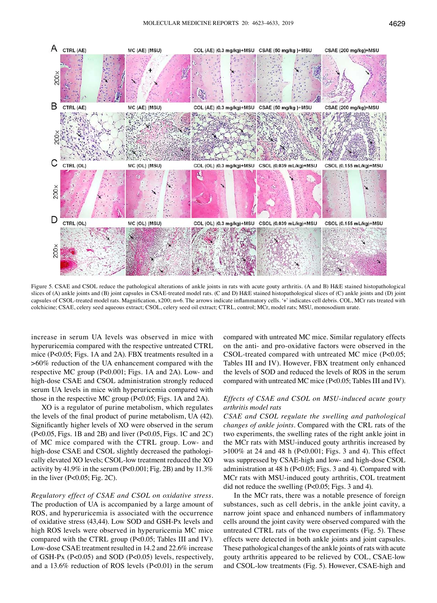

Figure 5. CSAE and CSOL reduce the pathological alterations of ankle joints in rats with acute gouty arthritis. (A and B) H&E stained histopathological slices of (A) ankle joints and (B) joint capsules in CSAE-treated model rats. (C and D) H&E stained histopathological slices of (C) ankle joints and (D) joint capsules of CSOL‑treated model rats. Magnification, x200; n=6. The arrows indicate inflammatory cells. '+' indicates cell debris. COL, MCr rats treated with colchicine; CSAE, celery seed aqueous extract; CSOL, celery seed oil extract; CTRL, control; MCr, model rats; MSU, monosodium urate.

increase in serum UA levels was observed in mice with hyperuricemia compared with the respective untreated CTRL mice (P<0.05; Figs. 1A and 2A). FBX treatments resulted in a >60% reduction of the UA enhancement compared with the respective MC group (P<0.001; Figs. 1A and 2A). Low- and high-dose CSAE and CSOL administration strongly reduced serum UA levels in mice with hyperuricemia compared with those in the respective MC group (P<0.05; Figs. 1A and 2A).

XO is a regulator of purine metabolism, which regulates the levels of the final product of purine metabolism, UA (42). Significantly higher levels of XO were observed in the serum (P<0.05, Figs. 1B and 2B) and liver (P<0.05, Figs. 1C and 2C) of MC mice compared with the CTRL group. Low- and high-dose CSAE and CSOL slightly decreased the pathologically elevated XO levels; CSOL‑low treatment reduced the XO activity by 41.9% in the serum (P<0.001; Fig. 2B) and by 11.3% in the liver  $(P<0.05; Fig. 2C)$ .

*Regulatory effect of CSAE and CSOL on oxidative stress.*  The production of UA is accompanied by a large amount of ROS, and hyperuricemia is associated with the occurrence of oxidative stress (43,44). Low SOD and GSH-Px levels and high ROS levels were observed in hyperuricemia MC mice compared with the CTRL group (P<0.05; Tables III and IV). Low-dose CSAE treatment resulted in 14.2 and 22.6% increase of GSH-Px (P<0.05) and SOD (P<0.05) levels, respectively, and a 13.6% reduction of ROS levels (P<0.01) in the serum compared with untreated MC mice. Similar regulatory effects on the anti- and pro-oxidative factors were observed in the CSOL‑treated compared with untreated MC mice (P<0.05; Tables III and IV). However, FBX treatment only enhanced the levels of SOD and reduced the levels of ROS in the serum compared with untreated MC mice (P<0.05; Tables III and IV).

# *Effects of CSAE and CSOL on MSU‑induced acute gouty arthritis model rats*

*CSAE and CSOL regulate the swelling and pathological changes of ankle joints.* Compared with the CRL rats of the two experiments, the swelling rates of the right ankle joint in the MCr rats with MSU‑induced gouty arthritis increased by >100% at 24 and 48 h (P<0.001; Figs. 3 and 4). This effect was suppressed by CSAE‑high and low- and high-dose CSOL administration at 48 h (P<0.05; Figs. 3 and 4). Compared with MCr rats with MSU‑induced gouty arthritis, COL treatment did not reduce the swelling (P<0.05; Figs. 3 and 4).

In the MCr rats, there was a notable presence of foreign substances, such as cell debris, in the ankle joint cavity, a narrow joint space and enhanced numbers of inflammatory cells around the joint cavity were observed compared with the untreated CTRL rats of the two experiments (Fig. 5). These effects were detected in both ankle joints and joint capsules. These pathological changes of the ankle joints of rats with acute gouty arthritis appeared to be relieved by COL, CSAE‑low and CSOL‑low treatments (Fig. 5). However, CSAE‑high and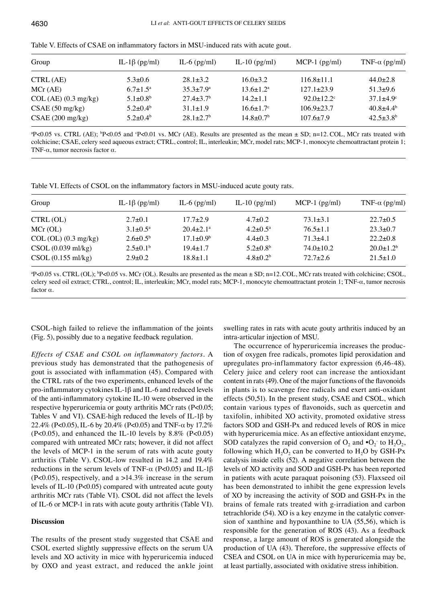| Group                | IL-1 $\beta$ (pg/ml) | IL-6 $(pg/ml)$            | IL-10 $(pg/ml)$        | $MCP-1$ (pg/ml)  | TNF- $\alpha$ (pg/ml)  |
|----------------------|----------------------|---------------------------|------------------------|------------------|------------------------|
| CTRL (AE)            | $5.3 \pm 0.6$        | $28.1 + 3.2$              | $16.0 \pm 3.2$         | $116.8 \pm 11.1$ | $44.0 \pm 2.8$         |
| MCr(AE)              | $6.7+1.5^{\rm a}$    | $35.3 + 7.9^{\circ}$      | $13.6 \pm 1.2^{\circ}$ | $127.1 + 23.9$   | $51.3+9.6$             |
| COL (AE) (0.3 mg/kg) | $5.1 + 0.8^b$        | $27.4 + 3.7b$             | $14.2 + 1.1$           | $92.0 + 12.2$ °  | $37.1 + 4.9$ °         |
| CSAE(50 mg/kg)       | $5.2 + 0.4^b$        | $31.1 + 1.9$              | $16.6 \pm 1.7$ °       | $106.9 \pm 23.7$ | $40.8+4.4^{b}$         |
| CSAE(200 mg/kg)      | $5.2 + 0.4^b$        | $28.1 + 2.7$ <sup>b</sup> | $14.8 + 0.7b$          | $107.6 + 7.9$    | $42.5 \pm 3.8^{\rm b}$ |

Table V. Effects of CSAE on inflammatory factors in MSU‑induced rats with acute gout.

 $P$ <0.05 vs. CTRL (AE);  $P$  <0.05 and  $P$  <0.01 vs. MCr (AE). Results are presented as the mean  $\pm$  SD; n=12. COL, MCr rats treated with colchicine; CSAE, celery seed aqueous extract; CTRL, control; IL, interleukin; MCr, model rats; MCP-1, monocyte chemoattractant protein 1; TNF- $\alpha$ , tumor necrosis factor  $\alpha$ .

Table VI. Effects of CSOL on the inflammatory factors in MSU-induced acute gouty rats.

| Group                | IL-1 $\beta$ (pg/ml) | IL-6 $(pg/ml)$     | IL-10 $(pg/ml)$          | $MCP-1$ (pg/ml) | TNF- $\alpha$ (pg/ml) |
|----------------------|----------------------|--------------------|--------------------------|-----------------|-----------------------|
| CTRL(OL)             | $2.7 \pm 0.1$        | $17.7 + 2.9$       | $4.7 + 0.2$              | $73.1 \pm 3.1$  | $22.7 \pm 0.5$        |
| MCr(OL)              | $3.1 + 0.5^a$        | $20.4+2.1^{\circ}$ | $4.2 \pm 0.5^{\text{a}}$ | $76.5 + 1.1$    | $23.3 \pm 0.7$        |
| COL (OL) (0.3 mg/kg) | $2.6 + 0.5^b$        | $17.1 \pm 0.9^b$   | $4.4 + 0.3$              | $71.3 + 4.1$    | $22.2+0.8$            |
| CSOL(0.039 ml/kg)    | $2.5+0.1b$           | $19.4 + 1.7$       | $5.2 + 0.8^b$            | $74.0 + 10.2$   | $20.0+1.2b$           |
| CSOL (0.155 ml/kg)   | $2.9 \pm 0.2$        | $18.8 \pm 1.1$     | $4.8 + 0.2b$             | $72.7 + 2.6$    | $21.5 \pm 1.0$        |

 $P$ <0.05 vs. CTRL (OL);  $P$  P<0.05 vs. MCr (OL). Results are presented as the mean  $\pm$  SD; n=12. COL, MCr rats treated with colchicine; CSOL, celery seed oil extract; CTRL, control; IL, interleukin; MCr, model rats; MCP-1, monocyte chemoattractant protein 1; TNF-α, tumor necrosis factor α.

CSOL‑high failed to relieve the inflammation of the joints (Fig. 5), possibly due to a negative feedback regulation.

*Effects of CSAE and CSOL on inflammatory factors.* A previous study has demonstrated that the pathogenesis of gout is associated with inflammation (45). Compared with the CTRL rats of the two experiments, enhanced levels of the pro‑inflammatory cytokines IL‑1β and IL‑6 and reduced levels of the anti‑inflammatory cytokine IL‑10 were observed in the respective hyperuricemia or gouty arthritis MCr rats (P<0.05; Tables V and VI). CSAE‑high reduced the levels of IL‑1β by 22.4% (P<0.05), IL‑6 by 20.4% (P<0.05) and TNF-α by 17.2%  $(P<0.05)$ , and enhanced the IL-10 levels by 8.8%  $(P<0.05)$ compared with untreated MCr rats; however, it did not affect the levels of MCP-1 in the serum of rats with acute gouty arthritis (Table V). CSOL‑low resulted in 14.2 and 19.4% reductions in the serum levels of TNF- $\alpha$  (P<0.05) and IL-1β (P<0.05), respectively, and a >14.3% increase in the serum levels of IL‑10 (P<0.05) compared with untreated acute gouty arthritis MCr rats (Table VI). CSOL did not affect the levels of IL‑6 or MCP-1 in rats with acute gouty arthritis (Table VI).

## **Discussion**

The results of the present study suggested that CSAE and CSOL exerted slightly suppressive effects on the serum UA levels and XO activity in mice with hyperuricemia induced by OXO and yeast extract, and reduced the ankle joint swelling rates in rats with acute gouty arthritis induced by an intra-articular injection of MSU.

The occurrence of hyperuricemia increases the production of oxygen free radicals, promotes lipid peroxidation and upregulates pro-inflammatory factor expression (6,46-48). Celery juice and celery root can increase the antioxidant content in rats(49). One of the major functions of the flavonoids in plants is to scavenge free radicals and exert anti-oxidant effects (50,51). In the present study, CSAE and CSOL, which contain various types of flavonoids, such as quercetin and taxifolin, inhibited XO activity, promoted oxidative stress factors SOD and GSH-Px and reduced levels of ROS in mice with hyperuricemia mice. As an effective antioxidant enzyme, SOD catalyzes the rapid conversion of  $O_2$  and  $\cdot O_2$  to  $H_2O_2$ , following which  $H_2O_2$  can be converted to  $H_2O$  by GSH-Px catalysis inside cells (52). A negative correlation between the levels of XO activity and SOD and GSH-Px has been reported in patients with acute paraquat poisoning (53). Flaxseed oil has been demonstrated to inhibit the gene expression levels of XO by increasing the activity of SOD and GSH-Px in the brains of female rats treated with g-irradiation and carbon tetrachloride (54). XO is a key enzyme in the catalytic conversion of xanthine and hypoxanthine to UA (55,56), which is responsible for the generation of ROS (43). As a feedback response, a large amount of ROS is generated alongside the production of UA (43). Therefore, the suppressive effects of CSEA and CSOL on UA in mice with hyperuricemia may be, at least partially, associated with oxidative stress inhibition.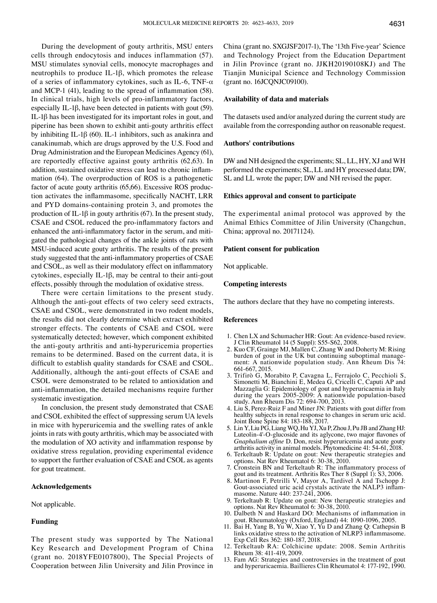During the development of gouty arthritis, MSU enters cells through endocytosis and induces inflammation (57). MSU stimulates synovial cells, monocyte macrophages and neutrophils to produce IL‑1β, which promotes the release of a series of inflammatory cytokines, such as IL-6, TNF- $\alpha$ and MCP-1 (41), leading to the spread of inflammation (58). In clinical trials, high levels of pro-inflammatory factors, especially IL‑1β, have been detected in patients with gout (59). IL‑1β has been investigated for its important roles in gout, and piperine has been shown to exhibit anti-gouty arthritis effect by inhibiting IL‑1β (60). IL‑1 inhibitors, such as anakinra and canakinumab, which are drugs approved by the U.S. Food and Drug Administration and the European Medicines Agency (61), are reportedly effective against gouty arthritis (62,63). In addition, sustained oxidative stress can lead to chronic inflammation (64). The overproduction of ROS is a pathogenetic factor of acute gouty arthritis (65,66). Excessive ROS production activates the inflammasome, specifically NACHT, LRR and PYD domains-containing protein 3, and promotes the production of IL-1 $\beta$  in gouty arthritis (67). In the present study, CSAE and CSOL reduced the pro‑inflammatory factors and enhanced the anti-inflammatory factor in the serum, and mitigated the pathological changes of the ankle joints of rats with MSU‑induced acute gouty arthritis. The results of the present study suggested that the anti‑inflammatory properties of CSAE and CSOL, as well as their modulatory effect on inflammatory cytokines, especially IL‑1β, may be central to their anti-gout effects, possibly through the modulation of oxidative stress.

There were certain limitations to the present study. Although the anti-gout effects of two celery seed extracts, CSAE and CSOL, were demonstrated in two rodent models, the results did not clearly determine which extract exhibited stronger effects. The contents of CSAE and CSOL were systematically detected; however, which component exhibited the anti-gouty arthritis and anti-hyperuricemia properties remains to be determined. Based on the current data, it is difficult to establish quality standards for CSAE and CSOL. Additionally, although the anti-gout effects of CSAE and CSOL were demonstrated to be related to antioxidation and anti-inflammation, the detailed mechanisms require further systematic investigation.

In conclusion, the present study demonstrated that CSAE and CSOL exhibited the effect of suppressing serum UA levels in mice with hyperuricemia and the swelling rates of ankle joints in rats with gouty arthritis, which may be associated with the modulation of XO activity and inflammation response by oxidative stress regulation, providing experimental evidence to support the further evaluation of CSAE and CSOL as agents for gout treatment.

## **Acknowledgements**

#### Not applicable.

## **Funding**

The present study was supported by The National Key Research and Development Program of China (grant no. 2018YFE0107800), The Special Projects of Cooperation between Jilin University and Jilin Province in China (grant no. SXGJSF2017‑1), The '13th Five‑year' Science and Technology Project from the Education Department in Jilin Province (grant no. JJKH20190108KJ) and The Tianjin Municipal Science and Technology Commission (grant no. 16JCQNJC09100).

### **Availability of data and materials**

The datasets used and/or analyzed during the current study are available from the corresponding author on reasonable request.

## **Authors' contributions**

DW and NH designed the experiments; SL, LL, HY, XJ and WH performed the experiments; SL, LL and HY processed data; DW, SL and LL wrote the paper; DW and NH revised the paper.

#### **Ethics approval and consent to participate**

The experimental animal protocol was approved by the Animal Ethics Committee of Jilin University (Changchun, China; approval no. 20171124).

## **Patient consent for publication**

Not applicable.

## **Competing interests**

The authors declare that they have no competing interests.

#### **References**

- 
- 1. Chen LX and Schumacher HR: Gout: An evidence-based review.<br>
1 Clin Rheumatol 14 (5 Suppl): S55-S62, 2008.<br>
2. Kuo CF, Grainge MJ, Mallen C, Zhang W and Doherty M: Rising<br>
burden of gout in the UK but continuing suboptim ment: A nationwide population study. Ann Rheum Dis 74: 661-667, 2015.<br>3. Trifirò G, Morabito P, Cavagna L, Ferrajolo C, Pecchioli S,
- Simonetti M, Bianchini E, Medea G, Cricelli C, Caputi AP and Mazzaglia G: Epidemiology of gout and hyperuricaemia in Italy during the years 2005-2009: A nationwide population-based study. Ann Rheum Dis 72: 694-700, 2013.
- 4. Liu S, Perez-Ruiz F and Miner JN: Patients with gout differ from healthy subjects in renal response to changes in serum uric acid. Joint Bone Spine 84: 183-188, 2017.
- 5. Lin Y, Liu PG, LiangWQ, Hu YJ, Xu P, Zhou J, Pu JB and Zhang HJ: Luteolin‑4'‑O‑glucoside and its aglycone, two major flavones of *Gnaphalium affine* D. Don, resist hyperuricemia and acute gouty arthritis activity in animal models. Phytomedicine 41: 54-61, 2018.
- 6. Terkeltaub R: Update on gout: New therapeutic strategies and options. Nat Rev Rheumatol 6:  $30-38$ ,  $2010$ .
- options. Nat Rev Rheumatol 6: 30-38, 2010. 7. Cronstein BN and Terkeltaub R: The inflammatory process of gout and its treatment. Arthritis Res Ther 8 (Suppl 1): S3, 2006.
- 8. Martinon F, Petrilli V, Mayor A, Tardivel A and Tschopp J: Gout-associated uric acid crystals activate the NALP3 inflam-<br>masome. Nature 440: 237-241, 2006.
- 9. Terkeltaub R: Update on gout: New therapeutic strategies and options. Nat Rev Rheumatol 6: 30-38, 2010.
- 10. Dalbeth N and Haskard DO: Mechanisms of inflammation in gout. Rheumatology (Oxford, England) 44: 1090-1096, 2005.
- 11. Bai H, Yang B, Yu W, Xiao Y, Yu D and Zhang Q: Cathepsin B links oxidative stress to the activation of NLRP3 inflammasome. Exp Cell Res 362: 180-187, 2018.
- 12. Terkeltaub RA: Colchicine update: 2008. Semin Arthritis
- 13. Fam AG: Strategies and controversies in the treatment of gout and hyperuricaemia. Baillieres Clin Rheumatol 4: 177-192, 1990.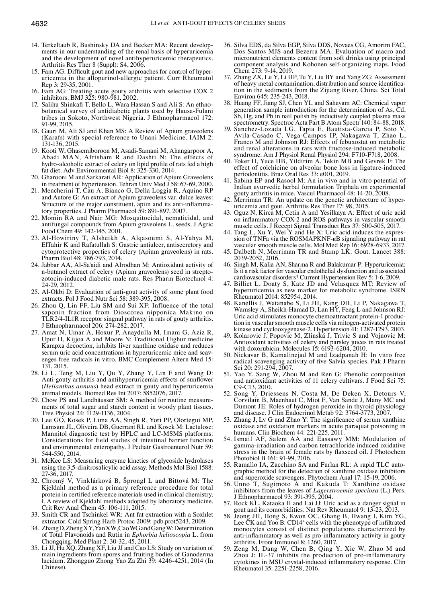- 
- 14. Terkeltaub R, Bushinsky DA and Becker MA: Recent developments in our understanding of the renal basis of hyperuricemia and the development of novel antihyperuricemic therapeutics. Arthritis Res Ther 8 (Suppl): S4, 2006.
- 15. Fam AG: Difficult gout and new approaches for control of hyperuricemia in the allopurinol-allergic patient. Curr Rheumatol Rep 3: 29-35, 2001.
- 16. Fam AG: Treating acute gouty arthritis with selective COX 2 inhibitors. BMJ 325: 980-981, 2002.
- 17. Salihu Shinkafi T, Bello L, Wara Hassan S and Ali S: An ethnobotanical survey of antidiabetic plants used by Hausa-Fulani tribes in Sokoto, Northwest Nigeria. J Ethnopharmacol 172: 91-99, 2015.
- 18. Gauri M, Ali SJ and Khan MS: A Review of Apium graveolens (Karafs) with special reference to Unani Medicine. IAIM 2: 131-136, 2015.
- 19. Kooti W, Ghasemiboroon M, Asadi-Samani M, Ahangarpoor A, Abadi MAN, Afrisham R and Dashti N: The effects of hydro‑alcoholic extract of celery on lipid profile of rats fed a high fat diet. Adv Environmental Biol 8: 325-330, 2014.
- 20. Gharooni M and Sarkarati AR: Application of Apium Graveolens in treatment of hypertension. Tehran Univ Med J 58: 67-69, 2000.
- 21. Mencherini T, Cau A, Bianco G, Della Loggia R, Aquino RP and Autore G: An extract of Apium graveolens var. dulce leaves: Structure of the major constituent, apiin and its anti-inflammatory properties. J Pharm Pharmacol 59: 891-897, 2007.
- 22. Momin RA and Nair MG: Mosquitocidal, nematicidal, and antifungal compounds from Apium graveolens L. seeds. J Agric Food Chem 49: 142-145, 2001.
- 23. Al-Howiriny T, Alsheikh A, Alqasoumi S, Al-Yahya M, ElTahir K and Rafatullah S: Gastric antiulcer, antisecretory and cytoprotective properties of celery (Apium graveolens) in rats. Pharm Biol 48: 786-793, 2014.
- 24. Jabbar AA, Al-Sa'aidi and Alrodhan M: Antioxidant activity of n-butanol extract of celery (Apium graveolens) seed in streptozotocin-induced diabetic male rats. Res Pharm Biotechnol 4: 24-29, 2012.
- 25. Al‑Okbi D: Evaluation of anti-gout activity of some plant food extracts. Pol J Food Nutr Sci 58: 389-395, 2008.
- 26. Zhou Q, Lin FF, Liu SM and Sui XF: Influence of the total saponin fraction from Dioscorea nipponica Makino on TLR2/4‑IL1R receptor singnal pathway in rats of gouty arthritis. J Ethnopharmacol 206: 274-282, 2017.
- 27. Amat N, Umar A, Hoxur P, Anaydulla M, Imam G, Aziz R, Upur H, Kijjoa A and Moore N: Traditional Uighur medicine Karapxa decoction, inhibits liver xanthine oxidase and reduces serum uric acid concentrations in hyperuricemic mice and scavenges free radicals in vitro. BMC Complement Altern Med 15: 131, 2015.
- 28. Li L, Teng M, Liu Y, Qu Y, Zhang Y, Lin F and Wang D: Anti‑gouty arthritis and antihyperuricemia effects of sunflower (*Helianthus annuus*) head extract in gouty and hyperuricemia animal models. Biomed Res Int 2017: 5852076, 2017.
- 29. Chow PS and Landhäusser SM: A method for routine measurements of total sugar and starch content in woody plant tissues. Tree Physiol 24: 1129-1136, 2004.
- 30. Lee GO, Kosek P, Lima AA, Singh R, Yori PP, Olortegui MP, Lamsam JL, Oliveira DB, Guerrant RL and Kosek M: Lactulose: Mannitol diagnostic test by HPLC and LC‑MSMS platforms: Considerations for field studies of intestinal barrier function and environmental enteropathy. J Pediatr Gastroenterol Nutr 59: 544-550, 2014.
- 31. McKee LS: Measuring enzyme kinetics of glycoside hydrolases using the 3,5-dinitrosalicylic acid assay. Methods Mol Biol 1588: 27-36, 2017.
- 32. Chromý V, Vinklárková B, Šprongl L and Bittová M: The Kjeldahl method as a primary reference procedure for total protein in certified reference materials used in clinical chemistry. I. A review of Kjeldahl methods adopted by laboratory medicine. Crit Rev Anal Chem 45: 106-111, 2015.
- 33. Smith CR and Tschinkel WR: Ant fat extraction with a Soxhlet extractor. Cold Spring Harb Protoc 2009: pdb.prot5243, 2009.
- 34. Zhang D, Zheng XY, Yan XW, Cao WG and Gang W: Determination of Total Flavonoids and Rutin in *Ephorbia helioscopia* L. from
- 35. Li JJ, Hu XQ, Zhang XF, Liu JJ and Cao LS: Study on variation of main ingredients from spores and fruiting bodies of Ganoderma lucidum. Zhongguo Zhong Yao Za Zhi 39: 4246-4251, 2014 (In Chinese).
- 36. Silva EDS, da Silva EGP, Silva DDS, Novaes CG, Amorim FAC, Dos Santos MJS and Bezerra MA: Evaluation of macro and micronutrient elements content from soft drinks using principal component analysis and Kohonen self-organizing maps. Food Chem 273: 9-14, 2019.
- 37. Zhang ZX, Lu Y, Li HP, Tu Y, Liu BY and Yang ZG: Assessment of heavy metal contamination, distribution and source identification in the sediments from the Zijiang River, China. Sci Total Environ 645: 235-243, 2018.
- 38. Huang FF, Jiang SJ, Chen YL and Sahayam AC: Chemical vapor generation sample introduction for the determination of As, Cd, Sb, Hg, and Pb in nail polish by inductively coupled plasma mass spectrometry. Spectroc Acta Part B Atom Spectr 140: 84-88, 2018.
- 39. Sanchez‑Lozada LG, Tapia E, Bautista-Garcia P, Soto V, Avila‑Casado C, Vega‑Campos IP, Nakagawa T, Zhao L, Franco M and Johnson RJ: Effects of febuxostat on metabolic and renal alterations in rats with fructose-induced metabolic syndrome. Am J Physiol Renal Physiol 294: F710-F718, 2008.
- 40. Toker H, Yuce HB, Yildirim A, Tekin MB and Gevrek F: The effect of colchicine on alveolar bone loss in ligature-induced periodontitis. Braz Oral Res 33: e001, 2019.
- 41. Sabina EP and Rasool M: An in vivo and in vitro potential of Indian ayurvedic herbal formulation Triphala on experimental gouty arthritis in mice. Vascul Pharmacol 48: 14-20, 2008.
- 42. Merriman TR: An update on the genetic architecture of hyper- uricemia and gout. Arthritis Res Ther 17: 98, 2015.
- 43. Oguz N, Kirca M, Cetin A and Yesilkaya A: Effect of uric acid on inflammatory COX-2 and ROS pathways in vascular smooth
- muscle cells. J Recept Signal Transduct Res 37: 500-505, 2017.<br>44. Tang L, Xu Y, Wei Y and He X: Uric acid induces the expres-<br>sion of TNFa via the ROSMAPKNF-kB signaling pathway in rat<br>vascular smooth muscle cells. Mol Me
- 45. Dalbeth N, Merriman TR and Stamp LK: Gout. Lancet 388: 2039-2052, 2016.
- 46. Singh M, Kalia AN, Sharma R and Balakumar P: Hyperuricemia: Is it a risk factor for vascular endothelial dysfunction and associated cardiovascular disorders? Current Hypertension Rev 5: 1-6, 2009.
- 47. Billiet L, Doaty S, Katz JD and Velasquez MT: Review of hyperuricemia as new marker for metabolic syndrome. ISRN Rheumatol 2014: 852954, 2014.
- 48. Kanellis J, Watanabe S, Li JH, Kang DH, Li P, Nakagawa T, Wamsley A, Sheikh-Hamad D, Lan HY, Feng L and Johnson RJ: Uric acid stimulates monocyte chemoattractant protein-1 produc- tion in vascular smooth muscle cells via mitogen-activated protein
- kinase and cyclooxygenase-2. Hypertension 41: 1287-1293, 2003. 49. Kolarovic J, Popovic M, Zlinská J, Trivic S and Vojnovic M: Antioxidant activities of celery and parsley juices in rats treated with doxorubicin. Molecules 15: 6193-6204, 2010.
- 50. Nickavar B, Kamalinejad M and Izadpanah H: In vitro free radical scavenging activity of five Salvia species. Pak J Pharm Sci 20: 291-294, 2007.
- 51. Yao Y, Sang W, Zhou M and Ren G: Phenolic composition and antioxidant activities of 11 celery cultivars. J Food Sci 75: C9-C13, 2010.<br>52. Song Y, Driessens N, Costa M, De Deken X, Detours V
- Corvilain B, Maenhaut C, Miot F, Van Sande J, Many MC and Dumont JE: Roles of hydrogen peroxide in thyroid physiology
- 53. Zhang J, Lv G and Zhao Y: The significance of serum xanthine oxidase and oxidation markers in acute paraquat poisoning in humans. Clin Biochem 44: 221-225, 2011.
- 54. Ismail AF, Salem AA and Eassawy MM: Modulation of gamma-irradiation and carbon tetrachloride induced oxidative stress in the brain of female rats by flaxseed oil. J Photochem Photobiol B 161: 91-99, 2016.<br>55. Ramallo IA, Zacchino SA and Furlan RL: A rapid TLC auto-
- graphic method for the detection of xanthine oxidase inhibitors and superoxide scavengers. Phytochem Anal 17: 15-19, 2006.
- 56. Unno T, Sugimoto A and Kakuda T: Xanthine oxidase inhibitors from the leaves of *Lagerstroemia speciosa* (L.) Pers. J Ethnopharmacol 93: 391-395, 2004.
- 57. Rock KL, Kataoka H and Lai JJ: Uric acid as a danger signal in
- 58. Jeong JH, Hong S, Kwon OC, Ghang B, Hwang I, Kim YG, Lee CK and Yoo B: CD14<sup>+</sup> cells with the phenotype of infiltrated monocytes consist of distinct populations characterized by anti-inflammatory as well as pro-inflammatory activity in gouty arthritis. Front Immunol 8: 1260, 2017.
- 59. Zeng M, Dang W, Chen B, Qing Y, Xie W, Zhao M and Zhou J: IL‑37 inhibits the production of pro-inflammatory cytokines in MSU crystal‑induced inflammatory response. Clin Rheumatol 35: 2251-2258, 2016.